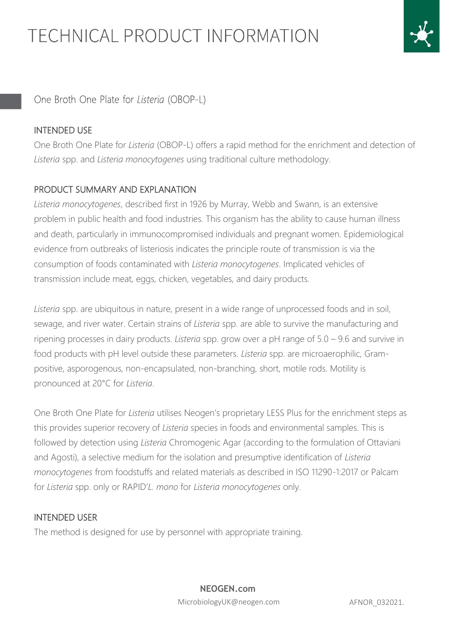

One Broth One Plate for Listeria (OBOP-L)

### INTENDED USE

One Broth One Plate for *Listeria* (OBOP-L) offers a rapid method for the enrichment and detection of *Listeria* spp. and *Listeria monocytogenes* using traditional culture methodology.

### PRODUCT SUMMARY AND EXPLANATION

*Listeria monocytogenes*, described first in 1926 by Murray, Webb and Swann, is an extensive problem in public health and food industries. This organism has the ability to cause human illness and death, particularly in immunocompromised individuals and pregnant women. Epidemiological evidence from outbreaks of listeriosis indicates the principle route of transmission is via the consumption of foods contaminated with *Listeria monocytogenes*. Implicated vehicles of transmission include meat, eggs, chicken, vegetables, and dairy products.

*Listeria* spp. are ubiquitous in nature, present in a wide range of unprocessed foods and in soil, sewage, and river water. Certain strains of *Listeria* spp. are able to survive the manufacturing and ripening processes in dairy products. *Listeria* spp. grow over a pH range of 5.0 – 9.6 and survive in food products with pH level outside these parameters. *Listeria* spp. are microaerophilic, Grampositive, asporogenous, non-encapsulated, non-branching, short, motile rods. Motility is pronounced at 20°C for *Listeria*.

One Broth One Plate for *Listeria* utilises Neogen's proprietary LESS Plus for the enrichment steps as this provides superior recovery of *Listeria* species in foods and environmental samples. This is followed by detection using *Listeria* Chromogenic Agar (according to the formulation of Ottaviani and Agosti), a selective medium for the isolation and presumptive identification of *Listeria monocytogenes* from foodstuffs and related materials as described in ISO 11290-1:2017 or Palcam for *Listeria* spp. only or RAPID'*L. mono* for *Listeria monocytogenes* only.

### INTENDED USER

The method is designed for use by personnel with appropriate training.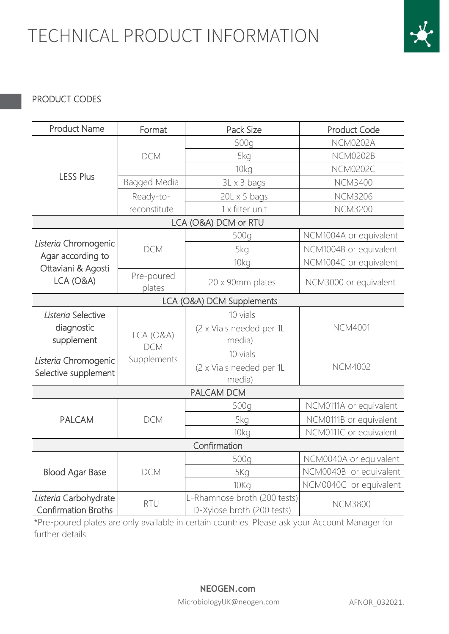

## PRODUCT CODES

| <b>Product Name</b>                     | Format                                | Pack Size                    | <b>Product Code</b>    |
|-----------------------------------------|---------------------------------------|------------------------------|------------------------|
| <b>LESS Plus</b>                        |                                       | 500g                         | <b>NCM0202A</b>        |
|                                         | <b>DCM</b>                            | 5kg                          | <b>NCM0202B</b>        |
|                                         |                                       | 10kg                         | <b>NCM0202C</b>        |
|                                         | Bagged Media                          | $3L \times 3$ bags           | <b>NCM3400</b>         |
|                                         | Ready-to-                             | $20L \times 5$ bags          | <b>NCM3206</b>         |
|                                         | reconstitute                          | 1 x filter unit              | <b>NCM3200</b>         |
|                                         |                                       | LCA (O&A) DCM or RTU         |                        |
|                                         | <b>DCM</b>                            | 500g                         | NCM1004A or equivalent |
| Listeria Chromogenic                    |                                       | 5kg                          | NCM1004B or equivalent |
| Agar according to<br>Ottaviani & Agosti |                                       | 10kg                         | NCM1004C or equivalent |
| LCA (O&A)                               | Pre-poured<br>plates                  | 20 x 90mm plates             | NCM3000 or equivalent  |
| LCA (O&A) DCM Supplements               |                                       |                              |                        |
| Listeria Selective                      |                                       | 10 vials                     |                        |
| diagnostic                              |                                       | (2 x Vials needed per 1L     | <b>NCM4001</b>         |
| supplement                              | LCA(O&A)<br><b>DCM</b><br>Supplements | media)                       |                        |
| Listeria Chromogenic                    |                                       | 10 vials                     |                        |
| Selective supplement                    |                                       | (2 x Vials needed per 1L     | <b>NCM4002</b>         |
|                                         |                                       | media)                       |                        |
|                                         |                                       | <b>PALCAM DCM</b>            |                        |
|                                         | <b>DCM</b>                            | 500g                         | NCM0111A or equivalent |
| <b>PALCAM</b>                           |                                       | 5kg                          | NCM0111B or equivalent |
|                                         |                                       | 10 <sub>kq</sub>             | NCM0111C or equivalent |
| Confirmation                            |                                       |                              |                        |
| <b>Blood Agar Base</b>                  | <b>DCM</b>                            | 500g                         | NCM0040A or equivalent |
|                                         |                                       | 5Kg                          | NCM0040B or equivalent |
|                                         |                                       | 10Kg                         | NCM0040C or equivalent |
| Listeria Carbohydrate                   | <b>RTU</b>                            | L-Rhamnose broth (200 tests) | <b>NCM3800</b>         |
| <b>Confirmation Broths</b>              |                                       | D-Xylose broth (200 tests)   |                        |

\*Pre-poured plates are only available in certain countries. Please ask your Account Manager for further details.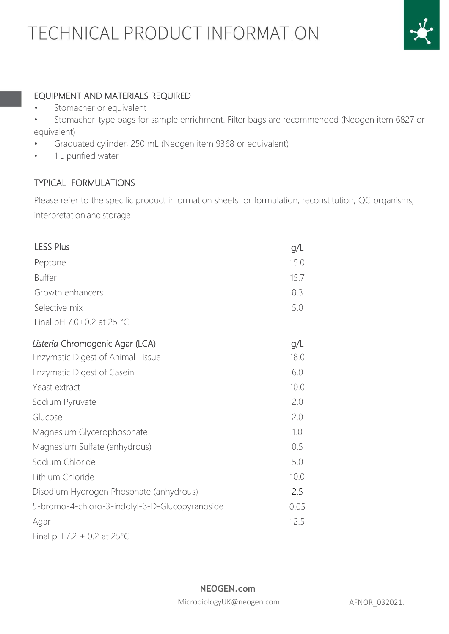

### EQUIPMENT AND MATERIALS REQUIRED

- Stomacher or equivalent
- Stomacher-type bags for sample enrichment. Filter bags are recommended (Neogen item 6827 or equivalent)
- Graduated cylinder, 250 mL (Neogen item 9368 or equivalent)
- 1 L purified water

## TYPICAL FORMULATIONS

Please refer to the specific product information sheets for formulation, reconstitution, QC organisms, interpretation and storage

| <b>LESS Plus</b>                               | g/L  |
|------------------------------------------------|------|
| Peptone                                        | 15.0 |
| <b>Buffer</b>                                  | 15.7 |
| Growth enhancers                               | 8.3  |
| Selective mix                                  | 5.0  |
| Final pH 7.0±0.2 at 25 °C                      |      |
| Listeria Chromogenic Agar (LCA)                | g/L  |
| <b>Enzymatic Digest of Animal Tissue</b>       | 18.0 |
| <b>Enzymatic Digest of Casein</b>              | 6.0  |
| Yeast extract                                  | 10.0 |
| Sodium Pyruvate                                | 2.0  |
| Glucose                                        | 2.0  |
| Magnesium Glycerophosphate                     | 1.0  |
| Magnesium Sulfate (anhydrous)                  | 0.5  |
| Sodium Chloride                                | 5.0  |
| Lithium Chloride                               | 10.0 |
| Disodium Hydrogen Phosphate (anhydrous)        | 2.5  |
| 5-bromo-4-chloro-3-indolyl-β-D-Glucopyranoside | 0.05 |
| Agar                                           | 12.5 |
| Final pH 7.2 $\pm$ 0.2 at 25 °C                |      |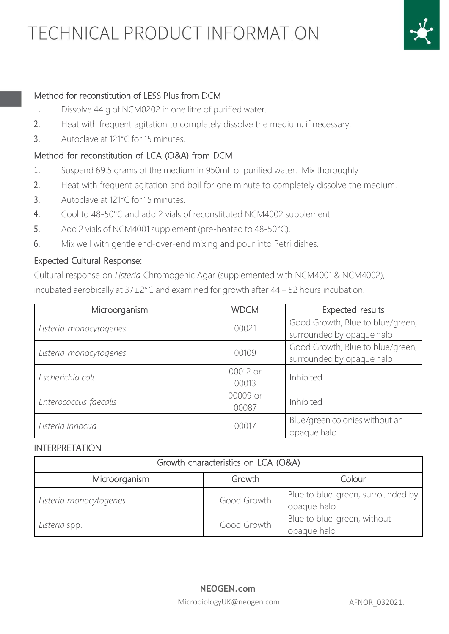

### Method for reconstitution of LESS Plus from DCM

- 1. Dissolve 44 g of NCM0202 in one litre of purified water.
- 2. Heat with frequent agitation to completely dissolve the medium, if necessary.
- 3. Autoclave at 121°C for 15 minutes.

#### Method for reconstitution of LCA (O&A) from DCM

- 1. Suspend 69.5 grams of the medium in 950mL of purified water. Mix thoroughly
- 2. Heat with frequent agitation and boil for one minute to completely dissolve the medium.
- 3. Autoclave at 121°C for 15 minutes.
- 4. Cool to 48-50°C and add 2 vials of reconstituted NCM4002 supplement.
- 5. Add 2 vials of NCM4001 supplement (pre-heated to 48-50°C).
- 6. Mix well with gentle end-over-end mixing and pour into Petri dishes.

#### Expected Cultural Response:

Cultural response on *Listeria* Chromogenic Agar (supplemented with NCM4001 & NCM4002), incubated aerobically at 37±2°C and examined for growth after 44 – 52 hours incubation.

| Microorganism          | <b>WDCM</b>       | Expected results                                              |
|------------------------|-------------------|---------------------------------------------------------------|
| Listeria monocytogenes | 00021             | Good Growth, Blue to blue/green,<br>surrounded by opaque halo |
| Listeria monocytogenes | 00109             | Good Growth, Blue to blue/green,<br>surrounded by opaque halo |
| Escherichia coli       | 00012 or<br>00013 | Inhibited                                                     |
| Enterococcus faecalis  | 00009 or<br>00087 | Inhibited                                                     |
| Listeria innocua       | 00017             | Blue/green colonies without an<br>opaque halo                 |

#### INTERPRETATION

| Growth characteristics on LCA (O&A) |             |                                                  |
|-------------------------------------|-------------|--------------------------------------------------|
| Microorganism                       | Growth      | Colour                                           |
| Listeria monocytogenes              | Good Growth | Blue to blue-green, surrounded by<br>opaque halo |
| Listeria spp.                       | Good Growth | Blue to blue-green, without<br>opaque halo       |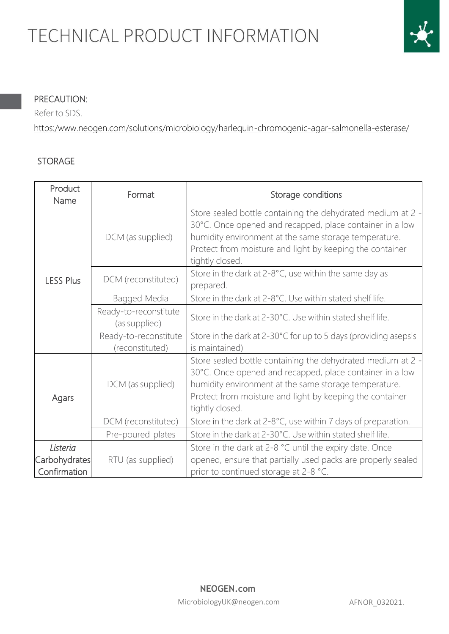

### PRECAUTION:

Refer to SDS.

[https:/www.neogen.com/solutions/microbiology/harlequin-chromogenic-agar-salmonella-esterase/](https://www.neogen.com/solutions/microbiology/harlequin-chromogenic-agar-salmonella-esterase/) 

#### STORAGE

| Product<br>Name  | Format                                   | Storage conditions                                                                                                                                                                                                                                              |
|------------------|------------------------------------------|-----------------------------------------------------------------------------------------------------------------------------------------------------------------------------------------------------------------------------------------------------------------|
| <b>LESS Plus</b> | DCM (as supplied)                        | Store sealed bottle containing the dehydrated medium at 2 -<br>30°C. Once opened and recapped, place container in a low<br>humidity environment at the same storage temperature.<br>Protect from moisture and light by keeping the container<br>tightly closed. |
|                  | DCM (reconstituted)                      | Store in the dark at 2-8°C, use within the same day as<br>prepared.                                                                                                                                                                                             |
|                  | Bagged Media                             | Store in the dark at 2-8°C. Use within stated shelf life.                                                                                                                                                                                                       |
|                  | Ready-to-reconstitute<br>(as supplied)   | Store in the dark at 2-30°C. Use within stated shelf life.                                                                                                                                                                                                      |
|                  | Ready-to-reconstitute<br>(reconstituted) | Store in the dark at 2-30°C for up to 5 days (providing asepsis<br>is maintained)                                                                                                                                                                               |
| Agars            | DCM (as supplied)                        | Store sealed bottle containing the dehydrated medium at 2 -<br>30°C. Once opened and recapped, place container in a low<br>humidity environment at the same storage temperature.<br>Protect from moisture and light by keeping the container<br>tightly closed. |
|                  | DCM (reconstituted)                      | Store in the dark at 2-8°C, use within 7 days of preparation.                                                                                                                                                                                                   |
|                  | Pre-poured plates                        | Store in the dark at 2-30°C. Use within stated shelf life.                                                                                                                                                                                                      |
| Listeria         |                                          | Store in the dark at 2-8 °C until the expiry date. Once                                                                                                                                                                                                         |
| Carbohydrates    | RTU (as supplied)                        | opened, ensure that partially used packs are properly sealed                                                                                                                                                                                                    |
| Confirmation     |                                          | prior to continued storage at 2-8 °C.                                                                                                                                                                                                                           |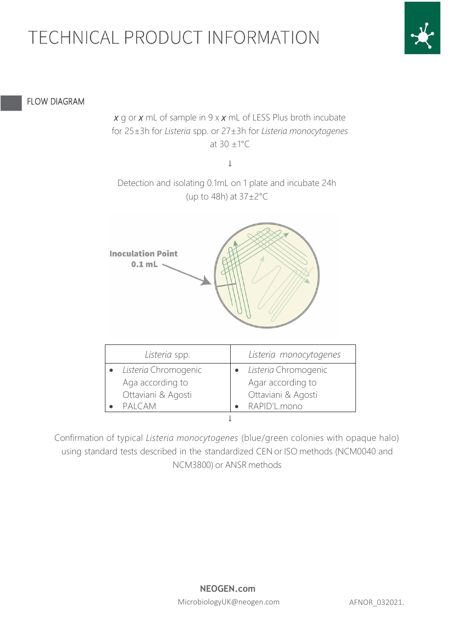

#### FLOW DIAGRAM

*x* g or *x* mL of sample in 9 x *x* mL of LESS Plus broth incubate for 25±3h for *Listeria* spp. or 27±3h for *Listeria monocytogenes* at 30 ±1°C

↓

Detection and isolating 0.1mL on 1 plate and incubate 24h (up to 48h) at  $37\pm2^{\circ}$ C



| Listeria spp.        | Listeria monocytogenes |
|----------------------|------------------------|
| Listeria Chromogenic | Listeria Chromogenic   |
| Aga according to     | Agar according to      |
| Ottaviani & Agosti   | Ottaviani & Agosti     |
| PALCAM               | RAPID'L.mono           |
|                      |                        |

Confirmation of typical *Listeria monocytogenes* (blue/green colonies with opaque halo) using standard tests described in the standardized CEN or ISO methods (NCM0040 and NCM3800) or ANSR methods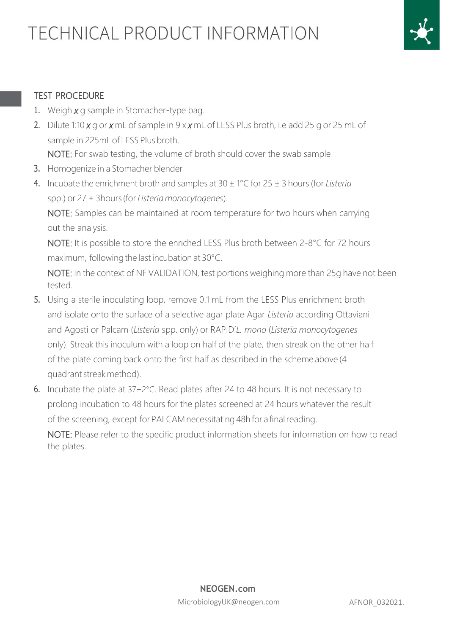

### TEST PROCEDURE

- 1. Weigh *x* g sample in Stomacher-type bag.
- 2. Dilute 1:10 *x* g or *x* mL of sample in 9 x *x* mL of LESS Plus broth, i.e add 25 g or 25 mL of sample in 225mL of LESS Plus broth.

NOTE: For swab testing, the volume of broth should cover the swab sample

- 3. Homogenize in a Stomacher blender
- 4. Incubate the enrichment broth and samples at 30 ± 1°C for 25 ± 3 hours(for *Listeria* spp.) or 27 ± 3hours(for *Listeria monocytogenes*).

NOTE: Samples can be maintained at room temperature for two hours when carrying out the analysis.

NOTE: It is possible to store the enriched LESS Plus broth between 2-8°C for 72 hours maximum, following the last incubation at 30°C.

NOTE: In the context of NF VALIDATION, test portions weighing more than 25g have not been tested.

- 5. Using a sterile inoculating loop, remove 0.1 mL from the LESS Plus enrichment broth and isolate onto the surface of a selective agar plate Agar *Listeria* according Ottaviani and Agosti or Palcam (*Listeria* spp. only) or RAPID'*L. mono* (*Listeria monocytogenes* only). Streak this inoculum with a loop on half of the plate, then streak on the other half of the plate coming back onto the first half as described in the scheme above (4 quadrantstreak method).
- 6. Incubate the plate at  $37\pm2^{\circ}$ C. Read plates after 24 to 48 hours. It is not necessary to prolong incubation to 48 hours for the plates screened at 24 hours whatever the result of the screening, except for PALCAM necessitating 48h for a final reading.

NOTE: Please refer to the specific product information sheets for information on how to read the plates.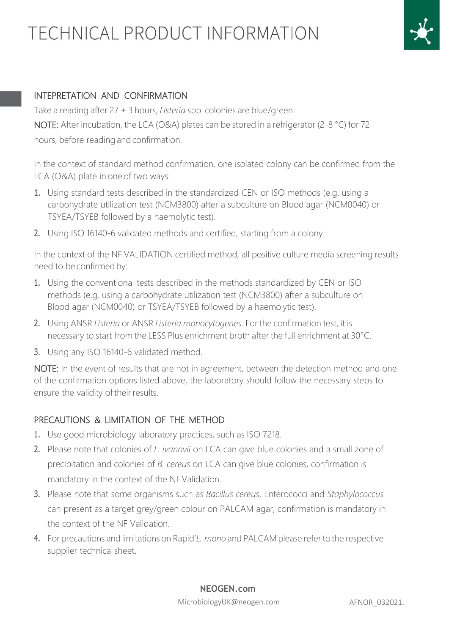

### INTEPRETATION AND CONFIRMATION

Take a reading after 27 ± 3 hours, *Listeria* spp. colonies are blue/green. NOTE: After incubation, the LCA (O&A) plates can be stored in a refrigerator (2-8 °C) for 72 hours, before reading and confirmation.

In the context of standard method confirmation, one isolated colony can be confirmed from the LCA (O&A) plate in one of two ways:

- 1. Using standard tests described in the standardized CEN or ISO methods (e.g. using a carbohydrate utilization test (NCM3800) after a subculture on Blood agar (NCM0040) or TSYEA/TSYEB followed by a haemolytic test).
- 2. Using ISO 16140-6 validated methods and certified, starting from a colony.

In the context of the NF VALIDATION certified method, all positive culture media screening results need to be confirmed by:

- 1. Using the conventional tests described in the methods standardized by CEN or ISO methods (e.g. using a carbohydrate utilization test (NCM3800) after a subculture on Blood agar (NCM0040) or TSYEA/TSYEB followed by a haemolytic test).
- 2. Using ANSR *Listeria* or ANSR *Listeria monocytogenes*. For the confirmation test, it is necessary to start from the LESS Plus enrichment broth after the full enrichment at 30°C.
- 3. Using any ISO 16140-6 validated method.

NOTE: In the event of results that are not in agreement, between the detection method and one of the confirmation options listed above, the laboratory should follow the necessary steps to ensure the validity of their results.

### PRECAUTIONS & LIMITATION OF THE METHOD

- 1. Use good microbiology laboratory practices, such as ISO 7218.
- 2. Please note that colonies of *L. ivanovii* on LCA can give blue colonies and a small zone of precipitation and colonies of *B. cereus* on LCA can give blue colonies, confirmation is mandatory in the context of the NFValidation.
- 3. Please note that some organisms such as *Bacillus cereus*, Enterococci and *Staphylococcus* can present as a target grey/green colour on PALCAM agar, confirmation is mandatory in the context of the NF Validation.
- 4. For precautions and limitations on Rapid'*L. mono* and PALCAM please refer to the respective supplier technical sheet.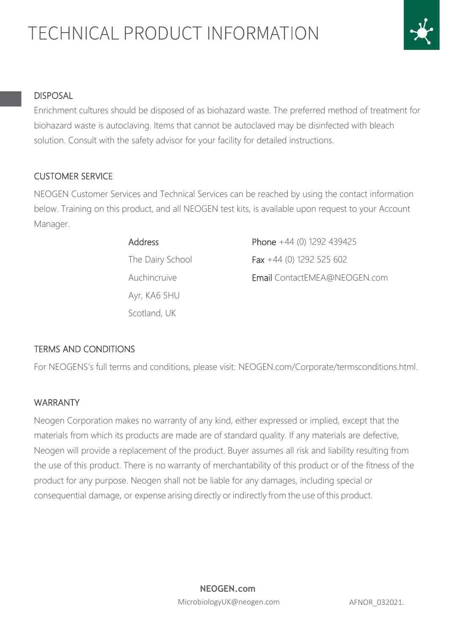

#### DISPOSAL

Enrichment cultures should be disposed of as biohazard waste. The preferred method of treatment for biohazard waste is autoclaving. Items that cannot be autoclaved may be disinfected with bleach solution. Consult with the safety advisor for your facility for detailed instructions.

### CUSTOMER SERVICE

NEOGEN Customer Services and Technical Services can be reached by using the contact information below. Training on this product, and all NEOGEN test kits, is available upon request to your Account Manager.

| <b>Address</b>   | Phone $+44$ (0) 1292 439425  |
|------------------|------------------------------|
| The Dairy School | Fax $+44$ (0) 1292 525 602   |
| Auchincruive     | Email ContactEMEA@NEOGEN.com |
| Ayr, KA6 5HU     |                              |
| Scotland, UK     |                              |

### TERMS AND CONDITIONS

For NEOGENS's full terms and conditions, please visit: NEOGEN.com/Corporate/termsconditions.html.

#### WARRANTY

Neogen Corporation makes no warranty of any kind, either expressed or implied, except that the materials from which its products are made are of standard quality. If any materials are defective, Neogen will provide a replacement of the product. Buyer assumes all risk and liability resulting from the use of this product. There is no warranty of merchantability of this product or of the fitness of the product for any purpose. Neogen shall not be liable for any damages, including special or consequential damage, or expense arising directly or indirectly from the use of this product.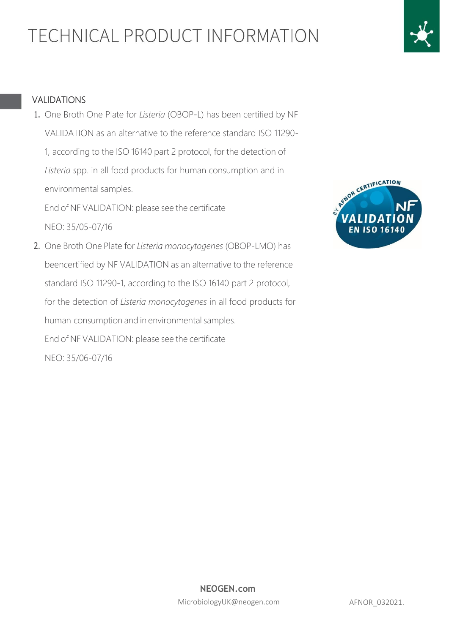# Ĭ

#### VALIDATIONS

1. One Broth One Plate for *Listeria* (OBOP-L) has been certified by NF VALIDATION as an alternative to the reference standard ISO 11290- 1, according to the ISO 16140 part 2 protocol, for the detection of *Listeria s*pp. in all food products for human consumption and in environmental samples.

End of NF VALIDATION: please see the certificate NEO: 35/05-07/16

2. One Broth One Plate for *Listeria monocytogenes* (OBOP-LMO) has beencertified by NF VALIDATION as an alternative to the reference standard ISO 11290-1, according to the ISO 16140 part 2 protocol, for the detection of *Listeria monocytogenes* in all food products for human consumption and in environmental samples. End of NF VALIDATION: please see the certificate NEO: 35/06-07/16